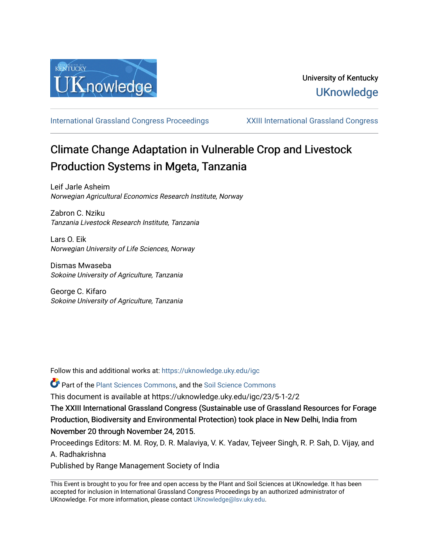

[International Grassland Congress Proceedings](https://uknowledge.uky.edu/igc) [XXIII International Grassland Congress](https://uknowledge.uky.edu/igc/23) 

# Climate Change Adaptation in Vulnerable Crop and Livestock Production Systems in Mgeta, Tanzania

Leif Jarle Asheim Norwegian Agricultural Economics Research Institute, Norway

Zabron C. Nziku Tanzania Livestock Research Institute, Tanzania

Lars O. Eik Norwegian University of Life Sciences, Norway

Dismas Mwaseba Sokoine University of Agriculture, Tanzania

George C. Kifaro Sokoine University of Agriculture, Tanzania

Follow this and additional works at: [https://uknowledge.uky.edu/igc](https://uknowledge.uky.edu/igc?utm_source=uknowledge.uky.edu%2Figc%2F23%2F5-1-2%2F2&utm_medium=PDF&utm_campaign=PDFCoverPages) 

Part of the [Plant Sciences Commons](http://network.bepress.com/hgg/discipline/102?utm_source=uknowledge.uky.edu%2Figc%2F23%2F5-1-2%2F2&utm_medium=PDF&utm_campaign=PDFCoverPages), and the [Soil Science Commons](http://network.bepress.com/hgg/discipline/163?utm_source=uknowledge.uky.edu%2Figc%2F23%2F5-1-2%2F2&utm_medium=PDF&utm_campaign=PDFCoverPages) 

This document is available at https://uknowledge.uky.edu/igc/23/5-1-2/2

The XXIII International Grassland Congress (Sustainable use of Grassland Resources for Forage Production, Biodiversity and Environmental Protection) took place in New Delhi, India from November 20 through November 24, 2015.

Proceedings Editors: M. M. Roy, D. R. Malaviya, V. K. Yadav, Tejveer Singh, R. P. Sah, D. Vijay, and A. Radhakrishna

Published by Range Management Society of India

This Event is brought to you for free and open access by the Plant and Soil Sciences at UKnowledge. It has been accepted for inclusion in International Grassland Congress Proceedings by an authorized administrator of UKnowledge. For more information, please contact [UKnowledge@lsv.uky.edu](mailto:UKnowledge@lsv.uky.edu).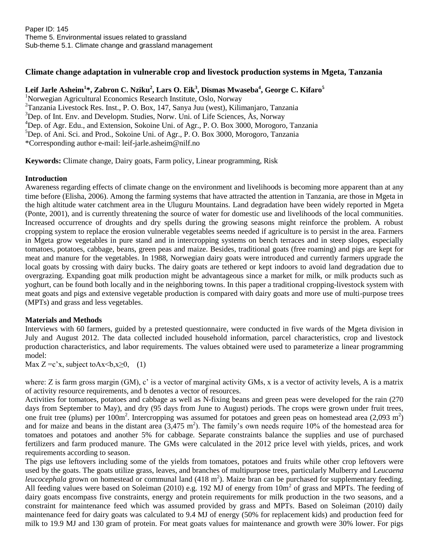## **Climate change adaptation in vulnerable crop and livestock production systems in Mgeta, Tanzania**

**Leif Jarle Asheim<sup>1</sup> \*, Zabron C. Nziku<sup>2</sup> , Lars O. Eik<sup>3</sup> , Dismas Mwaseba<sup>4</sup> , George C. Kifaro<sup>5</sup>**

<sup>1</sup>Norwegian Agricultural Economics Research Institute, Oslo, Norway  $2$ Tanzania Livestock Res. Inst., P. O. Box, 147, Sanya Juu (west), Kilimanjaro, Tanzania  $3$ Dep. of Int. Env. and Developm. Studies, Norw. Uni. of Life Sciences, Ås, Norway <sup>4</sup>Dep. of Agr. Edu., and Extension, Sokoine Uni. of Agr., P. O. Box 3000, Morogoro, Tanzania  ${}^{5}$ Dep. of Ani. Sci. and Prod., Sokoine Uni. of Agr., P. O. Box 3000, Morogoro, Tanzania \*Corresponding author e-mail: [leif-jarle.asheim@nilf.no](mailto:leif-jarle.asheim@nilf.no)

**Keywords:** Climate change, Dairy goats, Farm policy, Linear programming, Risk

#### **Introduction**

Awareness regarding effects of climate change on the environment and livelihoods is becoming more apparent than at any time before (Elisha, 2006). Among the farming systems that have attracted the attention in Tanzania, are those in Mgeta in the high altitude water catchment area in the Uluguru Mountains. Land degradation have been widely reported in Mgeta (Ponte, 2001), and is currently threatening the source of water for domestic use and livelihoods of the local communities. Increased occurrence of droughts and dry spells during the growing seasons might reinforce the problem. A robust cropping system to replace the erosion vulnerable vegetables seems needed if agriculture is to persist in the area. Farmers in Mgeta grow vegetables in pure stand and in intercropping systems on bench terraces and in steep slopes, especially tomatoes, potatoes, cabbage, beans, green peas and maize. Besides, traditional goats (free roaming) and pigs are kept for meat and manure for the vegetables. In 1988, Norwegian dairy goats were introduced and currently farmers upgrade the local goats by crossing with dairy bucks. The dairy goats are tethered or kept indoors to avoid land degradation due to overgrazing. Expanding goat milk production might be advantageous since a market for milk, or milk products such as yoghurt, can be found both locally and in the neighboring towns. In this paper a traditional cropping-livestock system with meat goats and pigs and extensive vegetable production is compared with dairy goats and more use of multi-purpose trees (MPTs) and grass and less vegetables.

#### **Materials and Methods**

Interviews with 60 farmers, guided by a pretested questionnaire, were conducted in five wards of the Mgeta division in July and August 2012. The data collected included household information, parcel characteristics, crop and livestock production characteristics, and labor requirements. The values obtained were used to parameterize a linear programming model:

Max  $Z = c'x$ , subject to $Ax \leq b, x \geq 0$ , (1)

where: Z is farm gross margin (GM), c' is a vector of marginal activity GMs, x is a vector of activity levels, A is a matrix of activity resource requirements, and b denotes a vector of resources.

Activities for tomatoes, potatoes and cabbage as well as N-fixing beans and green peas were developed for the rain (270 days from September to May), and dry (95 days from June to August) periods. The crops were grown under fruit trees, one fruit tree (plums) per  $100m^2$ . Intercropping was assumed for potatoes and green peas on homestead area (2,093 m<sup>2</sup>) and for maize and beans in the distant area  $(3,475 \text{ m}^2)$ . The family's own needs require 10% of the homestead area for tomatoes and potatoes and another 5% for cabbage. Separate constraints balance the supplies and use of purchased fertilizers and farm produced manure. The GMs were calculated in the 2012 price level with yields, prices, and work requirements according to season.

The pigs use leftovers including some of the yields from tomatoes, potatoes and fruits while other crop leftovers were used by the goats. The goats utilize grass, leaves, and branches of multipurpose trees, particularly Mulberry and L*eucaena*  leucocephala grown on homestead or communal land (418 m<sup>2</sup>). Maize bran can be purchased for supplementary feeding. All feeding values were based on Soleiman (2010) e.g. 192 MJ of energy from  $10m^2$  of grass and MPTs. The feeding of dairy goats encompass five constraints, energy and protein requirements for milk production in the two seasons, and a constraint for maintenance feed which was assumed provided by grass and MPTs. Based on Soleiman (2010) daily maintenance feed for dairy goats was calculated to 9.4 MJ of energy (50% for replacement kids) and production feed for milk to 19.9 MJ and 130 gram of protein. For meat goats values for maintenance and growth were 30% lower. For pigs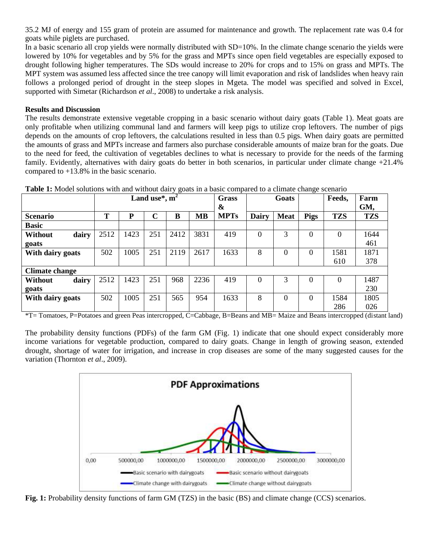35.2 MJ of energy and 155 gram of protein are assumed for maintenance and growth. The replacement rate was 0.4 for goats while piglets are purchased.

In a basic scenario all crop yields were normally distributed with SD=10%. In the climate change scenario the yields were lowered by 10% for vegetables and by 5% for the grass and MPTs since open field vegetables are especially exposed to drought following higher temperatures. The SDs would increase to 20% for crops and to 15% on grass and MPTs. The MPT system was assumed less affected since the tree canopy will limit evaporation and risk of landslides when heavy rain follows a prolonged period of drought in the steep slopes in Mgeta. The model was specified and solved in Excel, supported with Simetar (Richardson *et al*., 2008) to undertake a risk analysis.

### **Results and Discussion**

The results demonstrate extensive vegetable cropping in a basic scenario without dairy goats (Table 1). Meat goats are only profitable when utilizing communal land and farmers will keep pigs to utilize crop leftovers. The number of pigs depends on the amounts of crop leftovers, the calculations resulted in less than 0.5 pigs. When dairy goats are permitted the amounts of grass and MPTs increase and farmers also purchase considerable amounts of maize bran for the goats. Due to the need for feed, the cultivation of vegetables declines to what is necessary to provide for the needs of the farming family. Evidently, alternatives with dairy goats do better in both scenarios, in particular under climate change +21.4% compared to +13.8% in the basic scenario.

| <b>Table 1.</b> MOUCH SOLUTIONS WITH and WITHOUT GAILY GOALS IN A DASIC COMPANY TO A CHIMATE CHANGE SCCHAMO |                  |      |             |      |           |             |          |             |             |            |            |
|-------------------------------------------------------------------------------------------------------------|------------------|------|-------------|------|-----------|-------------|----------|-------------|-------------|------------|------------|
|                                                                                                             | Land use*, $m^2$ |      |             |      |           | Grass       |          | Goats       |             | Feeds,     | Farm       |
|                                                                                                             |                  |      |             |      |           | &           |          |             |             |            | GM,        |
| <b>Scenario</b>                                                                                             | Т                | P    | $\mathbf C$ | B    | <b>MB</b> | <b>MPTs</b> | Dairy    | <b>Meat</b> | <b>Pigs</b> | <b>TZS</b> | <b>TZS</b> |
| <b>Basic</b>                                                                                                |                  |      |             |      |           |             |          |             |             |            |            |
| Without<br>dairy                                                                                            | 2512             | 1423 | 251         | 2412 | 3831      | 419         | $\Omega$ | 3           | $\theta$    | 0          | 1644       |
| goats                                                                                                       |                  |      |             |      |           |             |          |             |             |            | 461        |
| With dairy goats                                                                                            | 502              | 1005 | 251         | 2119 | 2617      | 1633        | 8        | 0           | $\Omega$    | 1581       | 1871       |
|                                                                                                             |                  |      |             |      |           |             |          |             |             | 610        | 378        |
| <b>Climate change</b>                                                                                       |                  |      |             |      |           |             |          |             |             |            |            |
| dairy<br>Without                                                                                            | 2512             | 1423 | 251         | 968  | 2236      | 419         | $\Omega$ | 3           | 0           | $\Omega$   | 1487       |
| goats                                                                                                       |                  |      |             |      |           |             |          |             |             |            | 230        |
| With dairy goats                                                                                            | 502              | 1005 | 251         | 565  | 954       | 1633        | 8        | 0           | 0           | 1584       | 1805       |
|                                                                                                             |                  |      |             |      |           |             |          |             |             | 286        | 026        |

**Table 1:** Model solutions with and without dairy goats in a basic compared to a climate change scenario

\*T= Tomatoes, P=Potatoes and green Peas intercropped, C=Cabbage, B=Beans and MB= Maize and Beans intercropped (distant land)

The probability density functions (PDFs) of the farm GM (Fig. 1) indicate that one should expect considerably more income variations for vegetable production, compared to dairy goats. Change in length of growing season, extended drought, shortage of water for irrigation, and increase in crop diseases are some of the many suggested causes for the variation (Thornton *et al*., 2009).



**Fig. 1:** Probability density functions of farm GM (TZS) in the basic (BS) and climate change (CCS) scenarios.